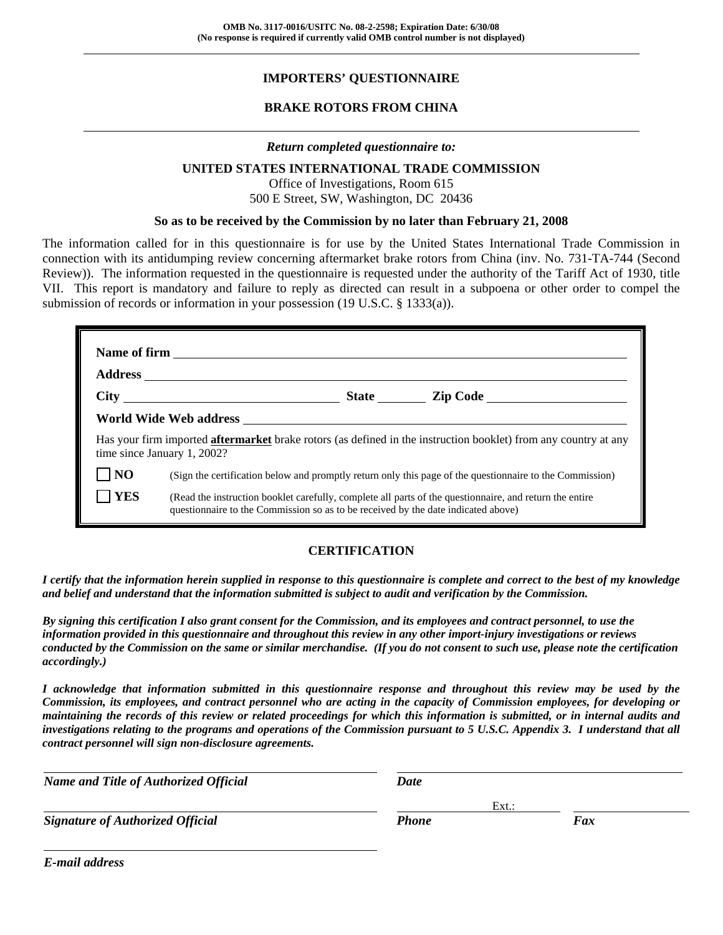# **IMPORTERS' QUESTIONNAIRE**

## **BRAKE ROTORS FROM CHINA**

#### *Return completed questionnaire to:*

## **UNITED STATES INTERNATIONAL TRADE COMMISSION**

Office of Investigations, Room 615 500 E Street, SW, Washington, DC 20436

#### **So as to be received by the Commission by no later than February 21, 2008**

The information called for in this questionnaire is for use by the United States International Trade Commission in connection with its antidumping review concerning aftermarket brake rotors from China (inv. No. 731-TA-744 (Second Review)). The information requested in the questionnaire is requested under the authority of the Tariff Act of 1930, title VII. This report is mandatory and failure to reply as directed can result in a subpoena or other order to compel the submission of records or information in your possession (19 U.S.C. § 1333(a)).

|                |                                                                                                                                                                                              |  | State <u>Zip Code</u> |  |  |
|----------------|----------------------------------------------------------------------------------------------------------------------------------------------------------------------------------------------|--|-----------------------|--|--|
|                |                                                                                                                                                                                              |  |                       |  |  |
|                | Has your firm imported <b>aftermarket</b> brake rotors (as defined in the instruction booklet) from any country at any<br>time since January 1, 2002?                                        |  |                       |  |  |
| N <sub>O</sub> | (Sign the certification below and promptly return only this page of the questionnaire to the Commission)                                                                                     |  |                       |  |  |
| <b>YES</b>     | (Read the instruction booklet carefully, complete all parts of the questionnaire, and return the entire<br>questionnaire to the Commission so as to be received by the date indicated above) |  |                       |  |  |

### **CERTIFICATION**

*I certify that the information herein supplied in response to this questionnaire is complete and correct to the best of my knowledge and belief and understand that the information submitted is subject to audit and verification by the Commission.* 

*By signing this certification I also grant consent for the Commission, and its employees and contract personnel, to use the information provided in this questionnaire and throughout this review in any other import-injury investigations or reviews conducted by the Commission on the same or similar merchandise. (If you do not consent to such use, please note the certification accordingly.)* 

*I acknowledge that information submitted in this questionnaire response and throughout this review may be used by the Commission, its employees, and contract personnel who are acting in the capacity of Commission employees, for developing or maintaining the records of this review or related proceedings for which this information is submitted, or in internal audits and investigations relating to the programs and operations of the Commission pursuant to 5 U.S.C. Appendix 3. I understand that all contract personnel will sign non-disclosure agreements.* 

l *Name and Title of Authorized Official Date* Ext.: Ext.: Ext.: Ext.: Ext.: Ext.: Ext.: Ext.: Ext.: Ext.: Ext.: Ext.: Ext.: Ext.: Ext.: Ext.: Ext.: Ext.: Ext.: Ext.: Ext.: Ext.: Ext.: Ext.: Ext.: Ext.: Ext.: Ext.: Ext.: Ext.: Ext.: Ext.: Ext.: Ext.: Ext.: Ext.: Ext.: *Signature of Authorized Official Phone Fax*

*E-mail address*

l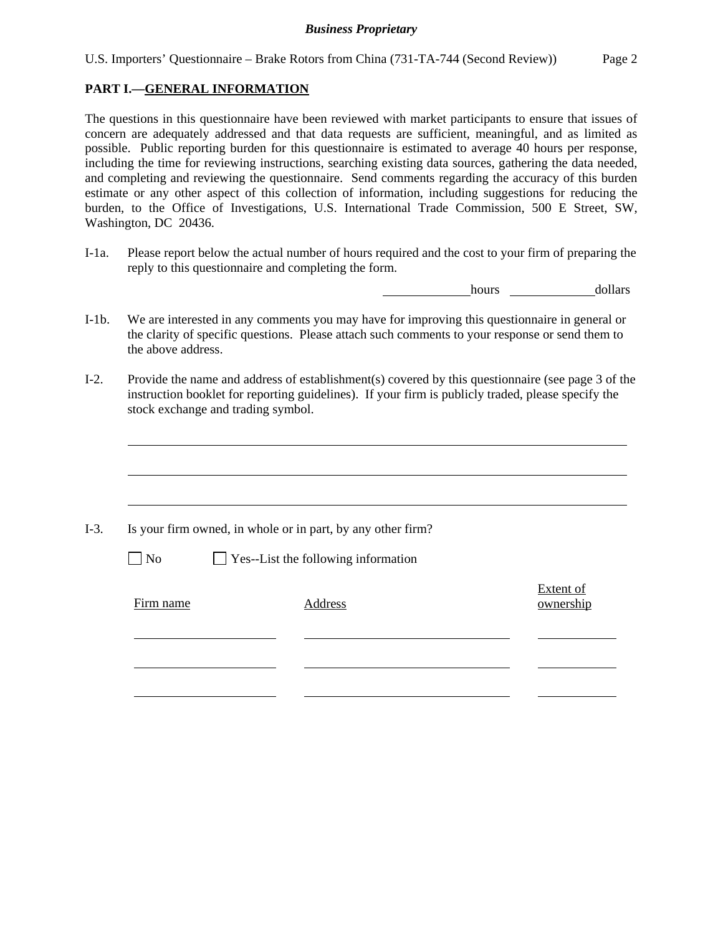#### **PART I.—GENERAL INFORMATION**

The questions in this questionnaire have been reviewed with market participants to ensure that issues of concern are adequately addressed and that data requests are sufficient, meaningful, and as limited as possible. Public reporting burden for this questionnaire is estimated to average 40 hours per response, including the time for reviewing instructions, searching existing data sources, gathering the data needed, and completing and reviewing the questionnaire. Send comments regarding the accuracy of this burden estimate or any other aspect of this collection of information, including suggestions for reducing the burden, to the Office of Investigations, U.S. International Trade Commission, 500 E Street, SW, Washington, DC 20436.

I-1a. Please report below the actual number of hours required and the cost to your firm of preparing the reply to this questionnaire and completing the form.

hours dollars

- I-1b. We are interested in any comments you may have for improving this questionnaire in general or the clarity of specific questions. Please attach such comments to your response or send them to the above address.
- I-2. Provide the name and address of establishment(s) covered by this questionnaire (see page 3 of the instruction booklet for reporting guidelines). If your firm is publicly traded, please specify the stock exchange and trading symbol.

|           | Is your firm owned, in whole or in part, by any other firm? |                        |
|-----------|-------------------------------------------------------------|------------------------|
| $\Box$ No | $\Box$ Yes--List the following information                  |                        |
| Firm name | Address                                                     | Extent of<br>ownership |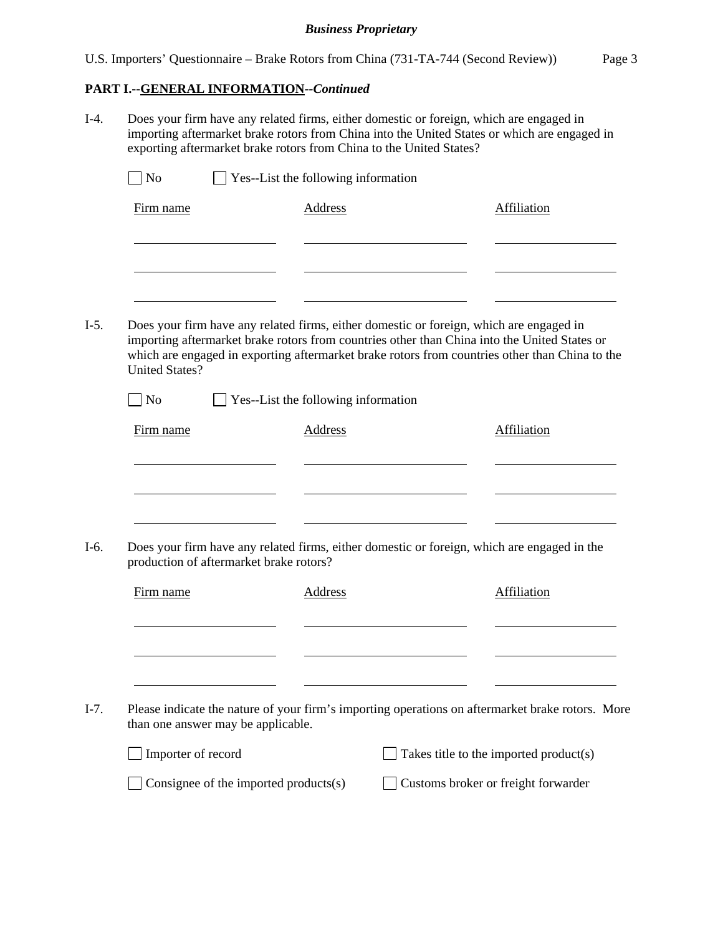### **PART I.--GENERAL INFORMATION***--Continued*

I-4. Does your firm have any related firms, either domestic or foreign, which are engaged in importing aftermarket brake rotors from China into the United States or which are engaged in exporting aftermarket brake rotors from China to the United States?

| Firm name                               | <b>Address</b>                                                                                   | Affiliation                                                                                                                                                                                    |
|-----------------------------------------|--------------------------------------------------------------------------------------------------|------------------------------------------------------------------------------------------------------------------------------------------------------------------------------------------------|
|                                         |                                                                                                  |                                                                                                                                                                                                |
|                                         | Does your firm have any related firms, either domestic or foreign, which are engaged in          | importing aftermarket brake rotors from countries other than China into the United States or<br>which are engaged in exporting aftermarket brake rotors from countries other than China to the |
| <b>United States?</b><br>No             | Yes--List the following information                                                              |                                                                                                                                                                                                |
| Firm name                               | <b>Address</b>                                                                                   | Affiliation                                                                                                                                                                                    |
|                                         |                                                                                                  |                                                                                                                                                                                                |
|                                         |                                                                                                  |                                                                                                                                                                                                |
| production of aftermarket brake rotors? | Does your firm have any related firms, either domestic or foreign, which are engaged in the      |                                                                                                                                                                                                |
| Firm name                               | <b>Address</b>                                                                                   | Affiliation                                                                                                                                                                                    |
|                                         |                                                                                                  |                                                                                                                                                                                                |
|                                         |                                                                                                  |                                                                                                                                                                                                |
|                                         |                                                                                                  |                                                                                                                                                                                                |
| than one answer may be applicable.      | Please indicate the nature of your firm's importing operations on aftermarket brake rotors. More |                                                                                                                                                                                                |
| Importer of record                      |                                                                                                  | Takes title to the imported product(s)                                                                                                                                                         |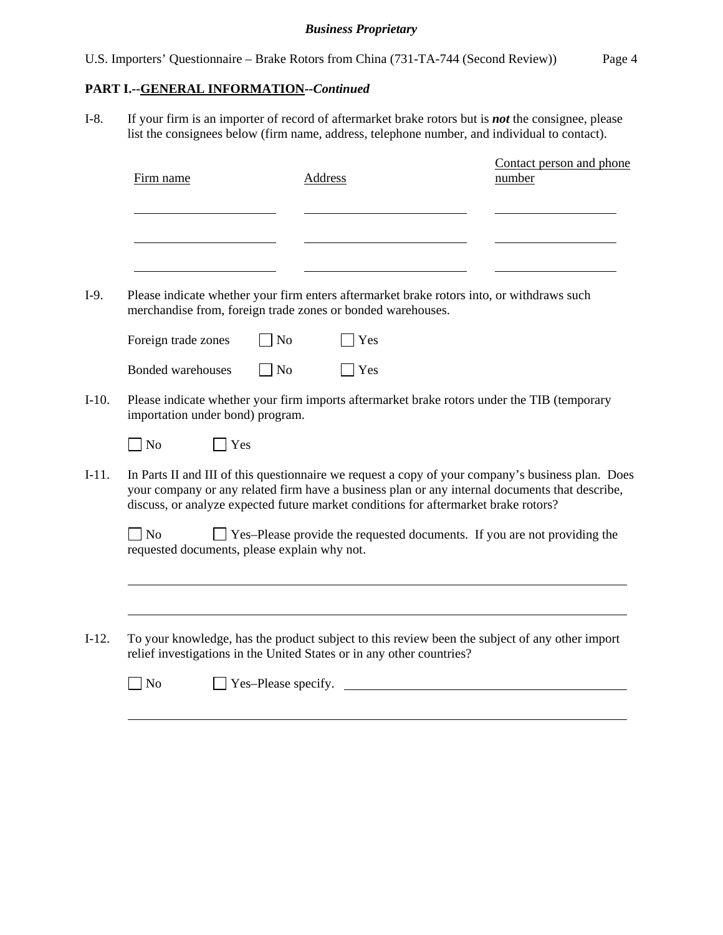# **PART I.--GENERAL INFORMATION***--Continued*

 $\overline{a}$ 

I-8. If your firm is an importer of record of aftermarket brake rotors but is *not* the consignee, please list the consignees below (firm name, address, telephone number, and individual to contact).

|         | Firm name                                                   | Address                                                                                                                                                                                                                                                                                    | Contact person and phone<br>number |
|---------|-------------------------------------------------------------|--------------------------------------------------------------------------------------------------------------------------------------------------------------------------------------------------------------------------------------------------------------------------------------------|------------------------------------|
|         |                                                             |                                                                                                                                                                                                                                                                                            |                                    |
| $I-9.$  | merchandise from, foreign trade zones or bonded warehouses. | Please indicate whether your firm enters aftermarket brake rotors into, or withdraws such                                                                                                                                                                                                  |                                    |
|         | N <sub>o</sub><br>Foreign trade zones                       | Yes                                                                                                                                                                                                                                                                                        |                                    |
|         | <b>Bonded warehouses</b><br>N <sub>0</sub>                  | Yes                                                                                                                                                                                                                                                                                        |                                    |
| $I-10.$ | importation under bond) program.                            | Please indicate whether your firm imports aftermarket brake rotors under the TIB (temporary                                                                                                                                                                                                |                                    |
|         | $\log$<br>$\Box$ Yes                                        |                                                                                                                                                                                                                                                                                            |                                    |
| $I-11.$ |                                                             | In Parts II and III of this questionnaire we request a copy of your company's business plan. Does<br>your company or any related firm have a business plan or any internal documents that describe,<br>discuss, or analyze expected future market conditions for aftermarket brake rotors? |                                    |
|         | $\neg$ No<br>requested documents, please explain why not.   | □ Yes–Please provide the requested documents. If you are not providing the                                                                                                                                                                                                                 |                                    |
|         |                                                             |                                                                                                                                                                                                                                                                                            |                                    |
| $I-12.$ |                                                             | To your knowledge, has the product subject to this review been the subject of any other import<br>relief investigations in the United States or in any other countries?                                                                                                                    |                                    |
|         | Yes-Please specify.<br>N <sub>0</sub>                       |                                                                                                                                                                                                                                                                                            |                                    |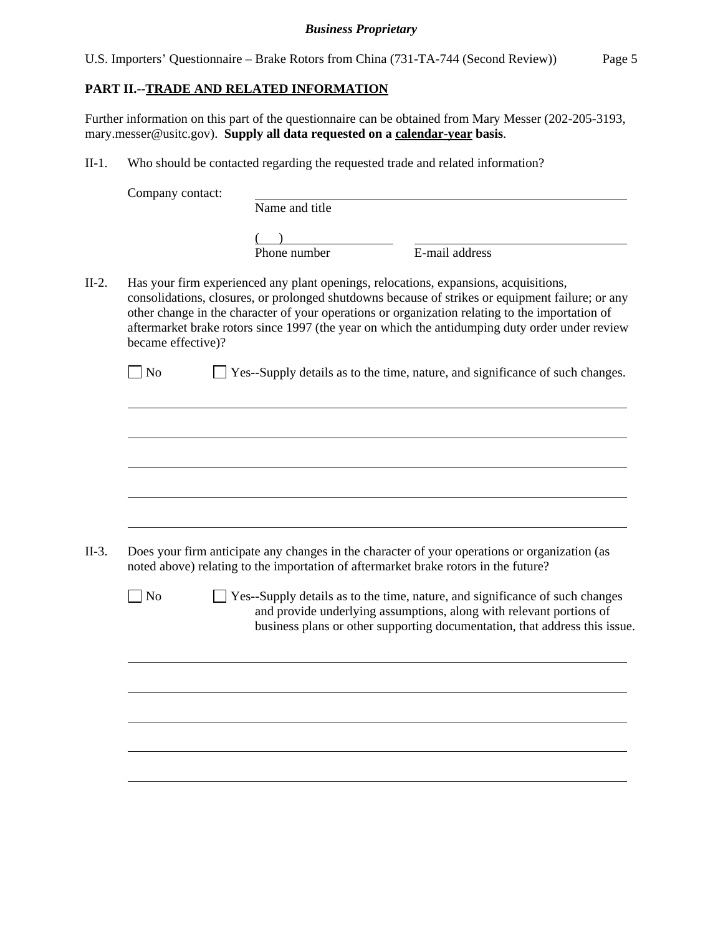|  |  | U.S. Importers' Questionnaire – Brake Rotors from China (731-TA-744 (Second Review)) | Page 5 |
|--|--|--------------------------------------------------------------------------------------|--------|
|  |  |                                                                                      |        |

## **PART II.--TRADE AND RELATED INFORMATION**

Further information on this part of the questionnaire can be obtained from Mary Messer (202-205-3193, mary.messer@usitc.gov). **Supply all data requested on a calendar-year basis**.

II-1. Who should be contacted regarding the requested trade and related information?

Company contact:

 $\overline{a}$ 

 $\overline{a}$ 

 $\overline{a}$ 

 $\overline{a}$ 

 $\overline{a}$ 

 $\overline{a}$ 

 $\overline{a}$ 

 $\overline{a}$ 

 $\overline{a}$ 

 $\overline{a}$ 

Name and title

 $($ 

Phone number E-mail address

II-2. Has your firm experienced any plant openings, relocations, expansions, acquisitions, consolidations, closures, or prolonged shutdowns because of strikes or equipment failure; or any other change in the character of your operations or organization relating to the importation of aftermarket brake rotors since 1997 (the year on which the antidumping duty order under review became effective)?

No  $\Box$  Yes--Supply details as to the time, nature, and significance of such changes.

- II-3. Does your firm anticipate any changes in the character of your operations or organization (as noted above) relating to the importation of aftermarket brake rotors in the future?
	- $\Box$  No  $\Box$  Yes--Supply details as to the time, nature, and significance of such changes and provide underlying assumptions, along with relevant portions of business plans or other supporting documentation, that address this issue.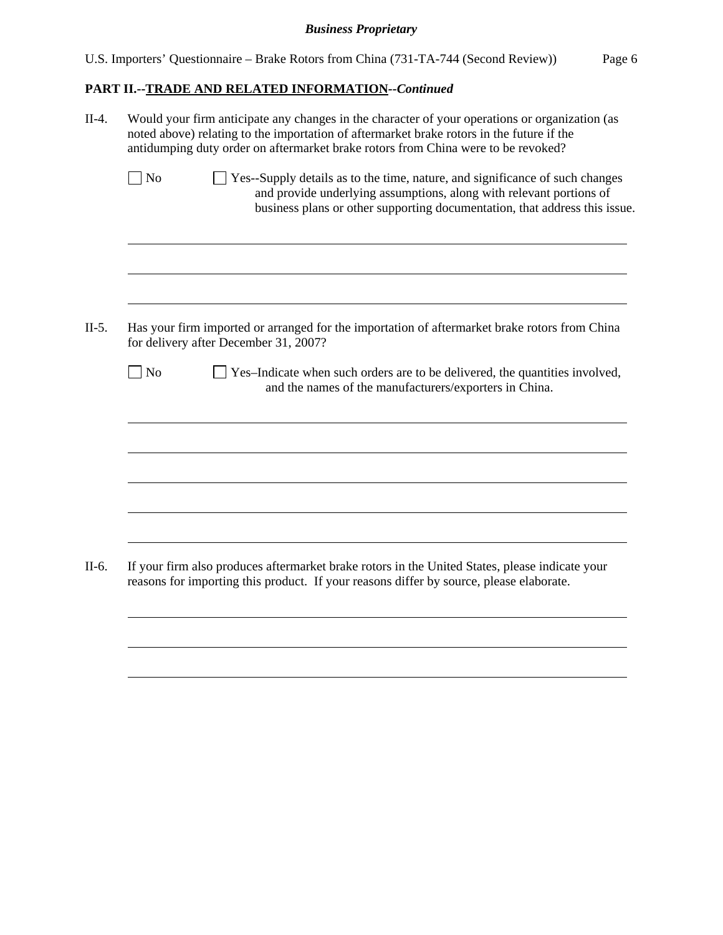# **PART II.--TRADE AND RELATED INFORMATION***--Continued*

| $\vert$ No | Yes--Supply details as to the time, nature, and significance of such changes<br>and provide underlying assumptions, along with relevant portions of<br>business plans or other supporting documentation, that address this issue. |
|------------|-----------------------------------------------------------------------------------------------------------------------------------------------------------------------------------------------------------------------------------|
|            |                                                                                                                                                                                                                                   |
|            |                                                                                                                                                                                                                                   |
|            | Has your firm imported or arranged for the importation of aftermarket brake rotors from China<br>for delivery after December 31, 2007?                                                                                            |
| ] No       | Yes-Indicate when such orders are to be delivered, the quantities involved,<br>and the names of the manufacturers/exporters in China.                                                                                             |
|            |                                                                                                                                                                                                                                   |
|            |                                                                                                                                                                                                                                   |
|            | If your firm also produces aftermarket brake rotors in the United States, please indicate your<br>reasons for importing this product. If your reasons differ by source, please elaborate.                                         |
|            |                                                                                                                                                                                                                                   |
|            |                                                                                                                                                                                                                                   |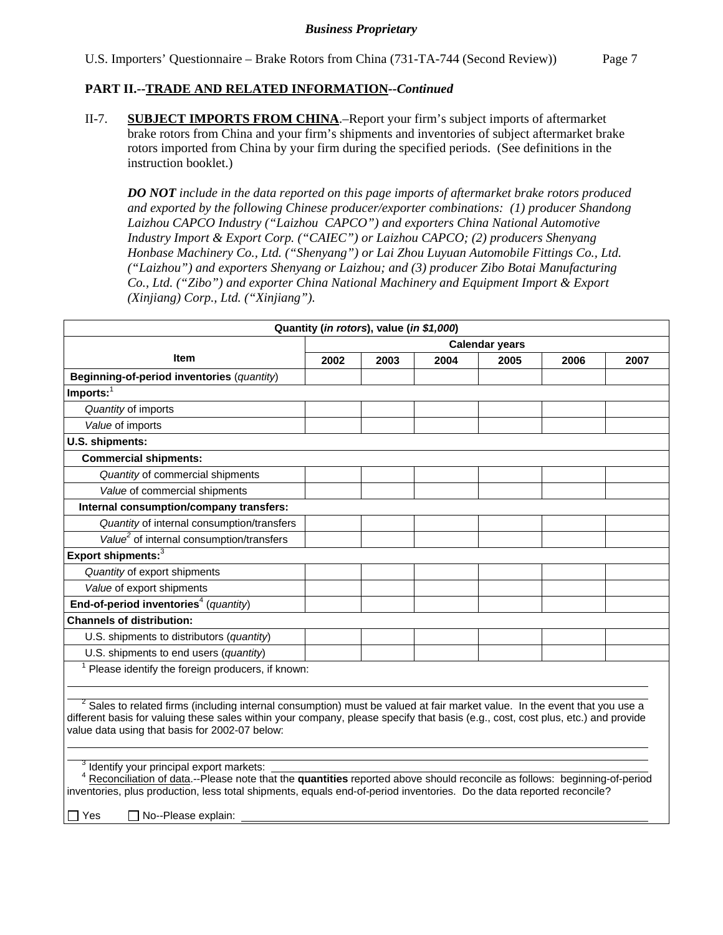## **PART II.--TRADE AND RELATED INFORMATION***--Continued*

II-7. **SUBJECT IMPORTS FROM CHINA**.–Report your firm's subject imports of aftermarket brake rotors from China and your firm's shipments and inventories of subject aftermarket brake rotors imported from China by your firm during the specified periods. (See definitions in the instruction booklet.)

*DO NOT include in the data reported on this page imports of aftermarket brake rotors produced and exported by the following Chinese producer/exporter combinations: (1) producer Shandong Laizhou CAPCO Industry ("Laizhou CAPCO") and exporters China National Automotive Industry Import & Export Corp. ("CAIEC") or Laizhou CAPCO; (2) producers Shenyang Honbase Machinery Co., Ltd. ("Shenyang") or Lai Zhou Luyuan Automobile Fittings Co., Ltd. ("Laizhou") and exporters Shenyang or Laizhou; and (3) producer Zibo Botai Manufacturing Co., Ltd. ("Zibo") and exporter China National Machinery and Equipment Import & Export (Xinjiang) Corp., Ltd. ("Xinjiang").*

| Quantity (in rotors), value (in \$1,000)                                                                                                                                                                                                                                                                                    |                       |      |      |      |      |      |
|-----------------------------------------------------------------------------------------------------------------------------------------------------------------------------------------------------------------------------------------------------------------------------------------------------------------------------|-----------------------|------|------|------|------|------|
|                                                                                                                                                                                                                                                                                                                             | <b>Calendar years</b> |      |      |      |      |      |
| Item                                                                                                                                                                                                                                                                                                                        | 2002                  | 2003 | 2004 | 2005 | 2006 | 2007 |
| Beginning-of-period inventories (quantity)                                                                                                                                                                                                                                                                                  |                       |      |      |      |      |      |
| Imports:                                                                                                                                                                                                                                                                                                                    |                       |      |      |      |      |      |
| Quantity of imports                                                                                                                                                                                                                                                                                                         |                       |      |      |      |      |      |
| Value of imports                                                                                                                                                                                                                                                                                                            |                       |      |      |      |      |      |
| U.S. shipments:                                                                                                                                                                                                                                                                                                             |                       |      |      |      |      |      |
| <b>Commercial shipments:</b>                                                                                                                                                                                                                                                                                                |                       |      |      |      |      |      |
| Quantity of commercial shipments                                                                                                                                                                                                                                                                                            |                       |      |      |      |      |      |
| Value of commercial shipments                                                                                                                                                                                                                                                                                               |                       |      |      |      |      |      |
| Internal consumption/company transfers:                                                                                                                                                                                                                                                                                     |                       |      |      |      |      |      |
| Quantity of internal consumption/transfers                                                                                                                                                                                                                                                                                  |                       |      |      |      |      |      |
| Value <sup>2</sup> of internal consumption/transfers                                                                                                                                                                                                                                                                        |                       |      |      |      |      |      |
| Export shipments: $3$                                                                                                                                                                                                                                                                                                       |                       |      |      |      |      |      |
| Quantity of export shipments                                                                                                                                                                                                                                                                                                |                       |      |      |      |      |      |
| Value of export shipments                                                                                                                                                                                                                                                                                                   |                       |      |      |      |      |      |
| End-of-period inventories <sup>4</sup> (quantity)                                                                                                                                                                                                                                                                           |                       |      |      |      |      |      |
| <b>Channels of distribution:</b>                                                                                                                                                                                                                                                                                            |                       |      |      |      |      |      |
| U.S. shipments to distributors (quantity)                                                                                                                                                                                                                                                                                   |                       |      |      |      |      |      |
| U.S. shipments to end users (quantity)                                                                                                                                                                                                                                                                                      |                       |      |      |      |      |      |
| Please identify the foreign producers, if known:                                                                                                                                                                                                                                                                            |                       |      |      |      |      |      |
|                                                                                                                                                                                                                                                                                                                             |                       |      |      |      |      |      |
| <sup>2</sup> Sales to related firms (including internal consumption) must be valued at fair market value. In the event that you use a<br>different basis for valuing these sales within your company, please specify that basis (e.g., cost, cost plus, etc.) and provide<br>value data using that basis for 2002-07 below: |                       |      |      |      |      |      |
| Identify your principal export markets:<br>Reconciliation of data.--Please note that the quantities reported above should reconcile as follows: beginning-of-period<br>inventories, plus production, less total shipments, equals end-of-period inventories. Do the data reported reconcile?<br>Yes<br>No--Please explain:  |                       |      |      |      |      |      |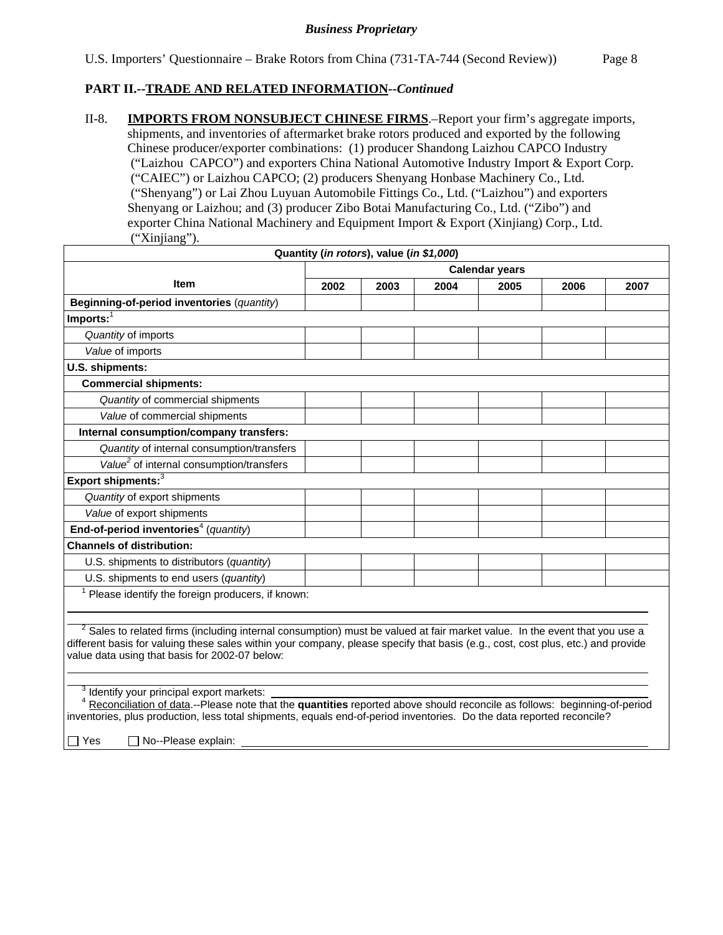## **PART II.--TRADE AND RELATED INFORMATION***--Continued*

II-8. **IMPORTS FROM NONSUBJECT CHINESE FIRMS**.–Report your firm's aggregate imports, shipments, and inventories of aftermarket brake rotors produced and exported by the following Chinese producer/exporter combinations: (1) producer Shandong Laizhou CAPCO Industry ("Laizhou CAPCO") and exporters China National Automotive Industry Import & Export Corp. ("CAIEC") or Laizhou CAPCO; (2) producers Shenyang Honbase Machinery Co., Ltd. ("Shenyang") or Lai Zhou Luyuan Automobile Fittings Co., Ltd. ("Laizhou") and exporters Shenyang or Laizhou; and (3) producer Zibo Botai Manufacturing Co., Ltd. ("Zibo") and exporter China National Machinery and Equipment Import & Export (Xinjiang) Corp., Ltd. ("Xinjiang").

| Quantity (in rotors), value (in \$1,000)                                                                                                                                                                                                                                                                                    |                       |      |      |      |      |      |
|-----------------------------------------------------------------------------------------------------------------------------------------------------------------------------------------------------------------------------------------------------------------------------------------------------------------------------|-----------------------|------|------|------|------|------|
|                                                                                                                                                                                                                                                                                                                             | <b>Calendar years</b> |      |      |      |      |      |
| <b>Item</b>                                                                                                                                                                                                                                                                                                                 | 2002                  | 2003 | 2004 | 2005 | 2006 | 2007 |
| Beginning-of-period inventories (quantity)                                                                                                                                                                                                                                                                                  |                       |      |      |      |      |      |
| Imports:                                                                                                                                                                                                                                                                                                                    |                       |      |      |      |      |      |
| Quantity of imports                                                                                                                                                                                                                                                                                                         |                       |      |      |      |      |      |
| Value of imports                                                                                                                                                                                                                                                                                                            |                       |      |      |      |      |      |
| U.S. shipments:                                                                                                                                                                                                                                                                                                             |                       |      |      |      |      |      |
| <b>Commercial shipments:</b>                                                                                                                                                                                                                                                                                                |                       |      |      |      |      |      |
| Quantity of commercial shipments                                                                                                                                                                                                                                                                                            |                       |      |      |      |      |      |
| Value of commercial shipments                                                                                                                                                                                                                                                                                               |                       |      |      |      |      |      |
| Internal consumption/company transfers:                                                                                                                                                                                                                                                                                     |                       |      |      |      |      |      |
| Quantity of internal consumption/transfers                                                                                                                                                                                                                                                                                  |                       |      |      |      |      |      |
| Value <sup>2</sup> of internal consumption/transfers                                                                                                                                                                                                                                                                        |                       |      |      |      |      |      |
| Export shipments: <sup>3</sup>                                                                                                                                                                                                                                                                                              |                       |      |      |      |      |      |
| Quantity of export shipments                                                                                                                                                                                                                                                                                                |                       |      |      |      |      |      |
| Value of export shipments                                                                                                                                                                                                                                                                                                   |                       |      |      |      |      |      |
| End-of-period inventories <sup>4</sup> (quantity)                                                                                                                                                                                                                                                                           |                       |      |      |      |      |      |
| <b>Channels of distribution:</b>                                                                                                                                                                                                                                                                                            |                       |      |      |      |      |      |
| U.S. shipments to distributors (quantity)                                                                                                                                                                                                                                                                                   |                       |      |      |      |      |      |
| U.S. shipments to end users (quantity)                                                                                                                                                                                                                                                                                      |                       |      |      |      |      |      |
| Please identify the foreign producers, if known:                                                                                                                                                                                                                                                                            |                       |      |      |      |      |      |
|                                                                                                                                                                                                                                                                                                                             |                       |      |      |      |      |      |
| <sup>2</sup> Sales to related firms (including internal consumption) must be valued at fair market value. In the event that you use a<br>different basis for valuing these sales within your company, please specify that basis (e.g., cost, cost plus, etc.) and provide<br>value data using that basis for 2002-07 below: |                       |      |      |      |      |      |
| <sup>3</sup> Identify your principal export markets:<br>Reconciliation of data .-- Please note that the quantities reported above should reconcile as follows: beginning-of-period<br>inventories, plus production, less total shipments, equals end-of-period inventories. Do the data reported reconcile?                 |                       |      |      |      |      |      |

 $\Box$  Yes  $\Box$  No--Please explain: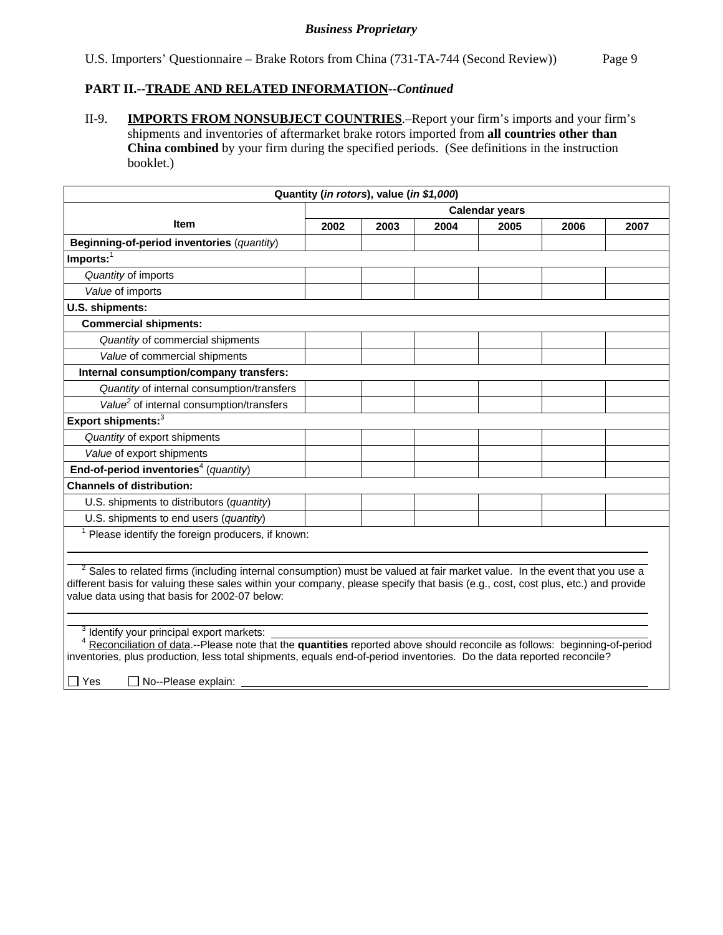#### **PART II.--TRADE AND RELATED INFORMATION***--Continued*

II-9. **IMPORTS FROM NONSUBJECT COUNTRIES**.–Report your firm's imports and your firm's shipments and inventories of aftermarket brake rotors imported from **all countries other than China combined** by your firm during the specified periods. (See definitions in the instruction booklet.)

|                                                                                                                                                                                                                                                   | Quantity (in rotors), value (in \$1,000)<br><b>Calendar years</b> |      |      |      |      |      |
|---------------------------------------------------------------------------------------------------------------------------------------------------------------------------------------------------------------------------------------------------|-------------------------------------------------------------------|------|------|------|------|------|
| <b>Item</b>                                                                                                                                                                                                                                       | 2002                                                              | 2003 | 2004 | 2005 | 2006 | 2007 |
| Beginning-of-period inventories (quantity)                                                                                                                                                                                                        |                                                                   |      |      |      |      |      |
| $Imports:$ <sup>1</sup>                                                                                                                                                                                                                           |                                                                   |      |      |      |      |      |
| Quantity of imports                                                                                                                                                                                                                               |                                                                   |      |      |      |      |      |
| Value of imports                                                                                                                                                                                                                                  |                                                                   |      |      |      |      |      |
| U.S. shipments:                                                                                                                                                                                                                                   |                                                                   |      |      |      |      |      |
| <b>Commercial shipments:</b>                                                                                                                                                                                                                      |                                                                   |      |      |      |      |      |
| Quantity of commercial shipments                                                                                                                                                                                                                  |                                                                   |      |      |      |      |      |
| Value of commercial shipments                                                                                                                                                                                                                     |                                                                   |      |      |      |      |      |
| Internal consumption/company transfers:                                                                                                                                                                                                           |                                                                   |      |      |      |      |      |
| Quantity of internal consumption/transfers                                                                                                                                                                                                        |                                                                   |      |      |      |      |      |
| Value <sup>2</sup> of internal consumption/transfers                                                                                                                                                                                              |                                                                   |      |      |      |      |      |
| Export shipments: <sup>3</sup>                                                                                                                                                                                                                    |                                                                   |      |      |      |      |      |
| Quantity of export shipments                                                                                                                                                                                                                      |                                                                   |      |      |      |      |      |
| Value of export shipments                                                                                                                                                                                                                         |                                                                   |      |      |      |      |      |
| End-of-period inventories <sup>4</sup> (quantity)                                                                                                                                                                                                 |                                                                   |      |      |      |      |      |
| <b>Channels of distribution:</b>                                                                                                                                                                                                                  |                                                                   |      |      |      |      |      |
| U.S. shipments to distributors (quantity)                                                                                                                                                                                                         |                                                                   |      |      |      |      |      |
| U.S. shipments to end users (quantity)                                                                                                                                                                                                            |                                                                   |      |      |      |      |      |
| Please identify the foreign producers, if known:                                                                                                                                                                                                  |                                                                   |      |      |      |      |      |
|                                                                                                                                                                                                                                                   |                                                                   |      |      |      |      |      |
| <sup>2</sup> Sales to related firms (including internal consumption) must be valued at fair market value. In the event that you use a                                                                                                             |                                                                   |      |      |      |      |      |
| different basis for valuing these sales within your company, please specify that basis (e.g., cost, cost plus, etc.) and provide                                                                                                                  |                                                                   |      |      |      |      |      |
| value data using that basis for 2002-07 below:                                                                                                                                                                                                    |                                                                   |      |      |      |      |      |
|                                                                                                                                                                                                                                                   |                                                                   |      |      |      |      |      |
| <sup>3</sup> Identify your principal export markets:                                                                                                                                                                                              |                                                                   |      |      |      |      |      |
| Reconciliation of data.--Please note that the quantities reported above should reconcile as follows: beginning-of-period<br>inventories, plus production, less total shipments, equals end-of-period inventories. Do the data reported reconcile? |                                                                   |      |      |      |      |      |
|                                                                                                                                                                                                                                                   |                                                                   |      |      |      |      |      |

 $\Box$  Yes  $\Box$  No--Please explain: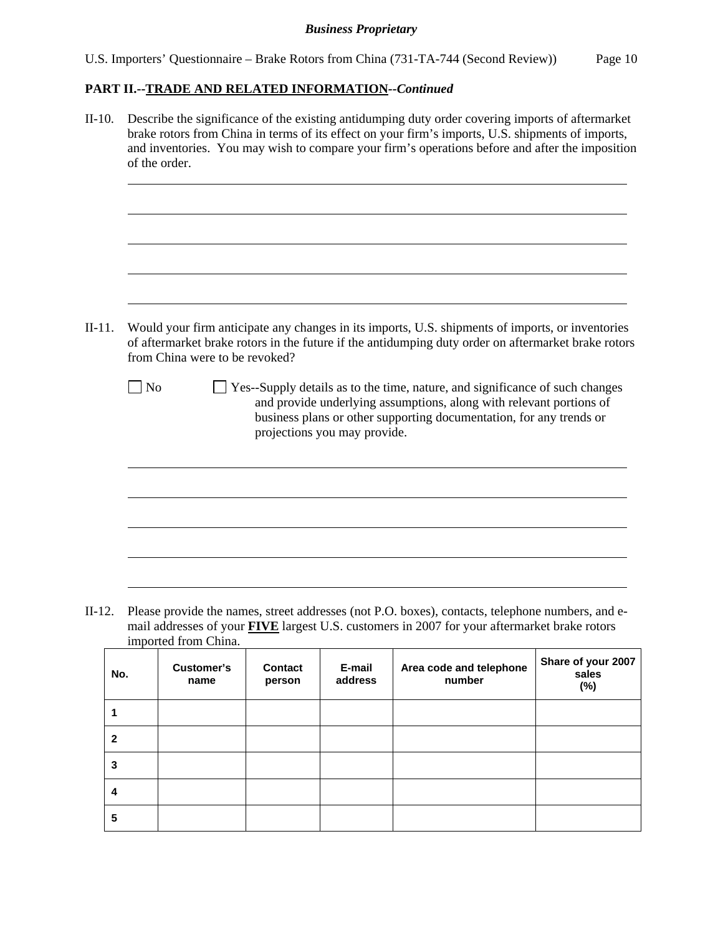### **PART II.--TRADE AND RELATED INFORMATION***--Continued*

- II-10. Describe the significance of the existing antidumping duty order covering imports of aftermarket brake rotors from China in terms of its effect on your firm's imports, U.S. shipments of imports, and inventories. You may wish to compare your firm's operations before and after the imposition of the order. l  $\overline{a}$  $\overline{a}$  $\overline{a}$  $\overline{a}$ II-11. Would your firm anticipate any changes in its imports, U.S. shipments of imports, or inventories of aftermarket brake rotors in the future if the antidumping duty order on aftermarket brake rotors from China were to be revoked?  $\Box$  No  $\Box$  Yes--Supply details as to the time, nature, and significance of such changes and provide underlying assumptions, along with relevant portions of business plans or other supporting documentation, for any trends or projections you may provide.  $\overline{a}$  $\overline{a}$  $\overline{a}$  $\overline{a}$  $\overline{a}$
- II-12. Please provide the names, street addresses (not P.O. boxes), contacts, telephone numbers, and email addresses of your **FIVE** largest U.S. customers in 2007 for your aftermarket brake rotors imported from China.

| No.          | Customer's<br>name | Contact<br>person | E-mail<br>address | Area code and telephone<br>number | Share of your 2007<br>sales<br>$(\%)$ |
|--------------|--------------------|-------------------|-------------------|-----------------------------------|---------------------------------------|
|              |                    |                   |                   |                                   |                                       |
| $\mathbf{2}$ |                    |                   |                   |                                   |                                       |
| 3            |                    |                   |                   |                                   |                                       |
| 4            |                    |                   |                   |                                   |                                       |
| 5            |                    |                   |                   |                                   |                                       |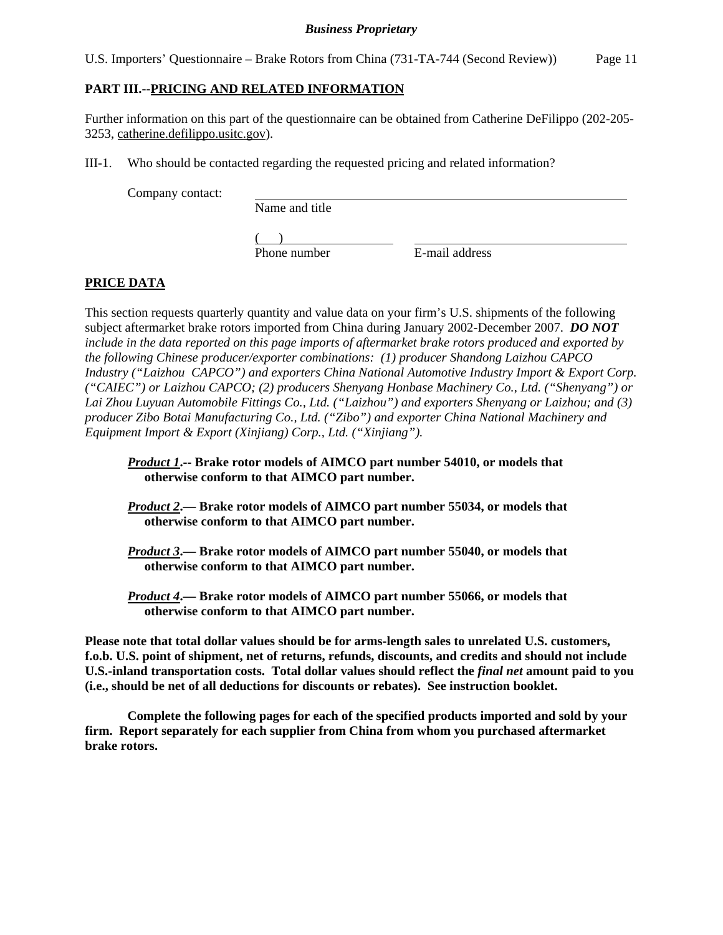U.S. Importers' Questionnaire – Brake Rotors from China (731-TA-744 (Second Review)) Page 11

#### **PART III.--PRICING AND RELATED INFORMATION**

Further information on this part of the questionnaire can be obtained from Catherine DeFilippo (202-205- 3253, catherine.defilippo.usitc.gov).

III-1. Who should be contacted regarding the requested pricing and related information?

Company contact:

Name and title

 $($ 

Phone number **E**-mail address

# **PRICE DATA**

This section requests quarterly quantity and value data on your firm's U.S. shipments of the following subject aftermarket brake rotors imported from China during January 2002-December 2007. *DO NOT include in the data reported on this page imports of aftermarket brake rotors produced and exported by the following Chinese producer/exporter combinations: (1) producer Shandong Laizhou CAPCO Industry ("Laizhou CAPCO") and exporters China National Automotive Industry Import & Export Corp. ("CAIEC") or Laizhou CAPCO; (2) producers Shenyang Honbase Machinery Co., Ltd. ("Shenyang") or Lai Zhou Luyuan Automobile Fittings Co., Ltd. ("Laizhou") and exporters Shenyang or Laizhou; and (3) producer Zibo Botai Manufacturing Co., Ltd. ("Zibo") and exporter China National Machinery and Equipment Import & Export (Xinjiang) Corp., Ltd. ("Xinjiang").*

*Product 1***.-- Brake rotor models of AIMCO part number 54010, or models that otherwise conform to that AIMCO part number.** 

*Product 2***.— Brake rotor models of AIMCO part number 55034, or models that otherwise conform to that AIMCO part number.** 

*Product 3***.— Brake rotor models of AIMCO part number 55040, or models that otherwise conform to that AIMCO part number.** 

*Product 4***.— Brake rotor models of AIMCO part number 55066, or models that otherwise conform to that AIMCO part number.** 

**Please note that total dollar values should be for arms-length sales to unrelated U.S. customers, f.o.b. U.S. point of shipment, net of returns, refunds, discounts, and credits and should not include U.S.-inland transportation costs. Total dollar values should reflect the** *final net* **amount paid to you (i.e., should be net of all deductions for discounts or rebates). See instruction booklet.** 

**Complete the following pages for each of the specified products imported and sold by your firm. Report separately for each supplier from China from whom you purchased aftermarket brake rotors.**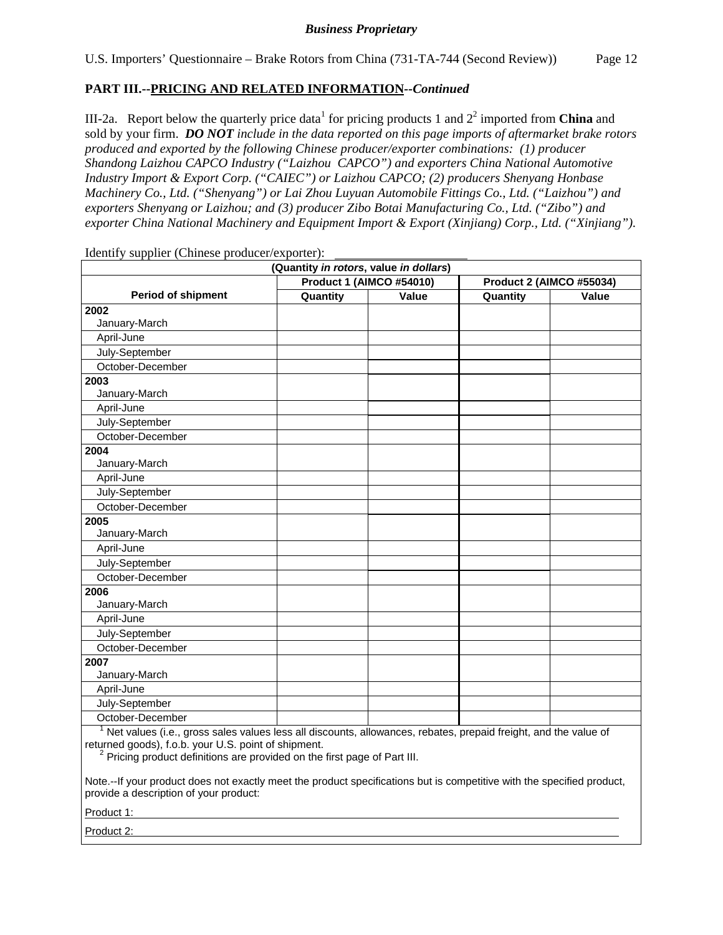## **PART III.--PRICING AND RELATED INFORMATION***--Continued*

III-2a. Report below the quarterly price data<sup>1</sup> for pricing products 1 and  $2<sup>2</sup>$  imported from **China** and sold by your firm. *DO NOT include in the data reported on this page imports of aftermarket brake rotors produced and exported by the following Chinese producer/exporter combinations: (1) producer Shandong Laizhou CAPCO Industry ("Laizhou CAPCO") and exporters China National Automotive Industry Import & Export Corp. ("CAIEC") or Laizhou CAPCO; (2) producers Shenyang Honbase Machinery Co., Ltd. ("Shenyang") or Lai Zhou Luyuan Automobile Fittings Co., Ltd. ("Laizhou") and exporters Shenyang or Laizhou; and (3) producer Zibo Botai Manufacturing Co., Ltd. ("Zibo") and exporter China National Machinery and Equipment Import & Export (Xinjiang) Corp., Ltd. ("Xinjiang").*

|                           | (Quantity in rotors, value in dollars)                                                                                                                                                                                        |       |                                 |       |
|---------------------------|-------------------------------------------------------------------------------------------------------------------------------------------------------------------------------------------------------------------------------|-------|---------------------------------|-------|
|                           | <b>Product 1 (AIMCO #54010)</b>                                                                                                                                                                                               |       | <b>Product 2 (AIMCO #55034)</b> |       |
| <b>Period of shipment</b> | Quantity                                                                                                                                                                                                                      | Value | Quantity                        | Value |
| 2002                      |                                                                                                                                                                                                                               |       |                                 |       |
| January-March             |                                                                                                                                                                                                                               |       |                                 |       |
| April-June                |                                                                                                                                                                                                                               |       |                                 |       |
| July-September            |                                                                                                                                                                                                                               |       |                                 |       |
| October-December          |                                                                                                                                                                                                                               |       |                                 |       |
| 2003                      |                                                                                                                                                                                                                               |       |                                 |       |
| January-March             |                                                                                                                                                                                                                               |       |                                 |       |
| April-June                |                                                                                                                                                                                                                               |       |                                 |       |
| July-September            |                                                                                                                                                                                                                               |       |                                 |       |
| October-December          |                                                                                                                                                                                                                               |       |                                 |       |
| 2004                      |                                                                                                                                                                                                                               |       |                                 |       |
| January-March             |                                                                                                                                                                                                                               |       |                                 |       |
| April-June                |                                                                                                                                                                                                                               |       |                                 |       |
| July-September            |                                                                                                                                                                                                                               |       |                                 |       |
| October-December          |                                                                                                                                                                                                                               |       |                                 |       |
| 2005                      |                                                                                                                                                                                                                               |       |                                 |       |
| January-March             |                                                                                                                                                                                                                               |       |                                 |       |
| April-June                |                                                                                                                                                                                                                               |       |                                 |       |
| July-September            |                                                                                                                                                                                                                               |       |                                 |       |
| October-December          |                                                                                                                                                                                                                               |       |                                 |       |
| 2006                      |                                                                                                                                                                                                                               |       |                                 |       |
| January-March             |                                                                                                                                                                                                                               |       |                                 |       |
| April-June                |                                                                                                                                                                                                                               |       |                                 |       |
| July-September            |                                                                                                                                                                                                                               |       |                                 |       |
| October-December          |                                                                                                                                                                                                                               |       |                                 |       |
| 2007                      |                                                                                                                                                                                                                               |       |                                 |       |
| January-March             |                                                                                                                                                                                                                               |       |                                 |       |
| April-June                |                                                                                                                                                                                                                               |       |                                 |       |
| July-September            |                                                                                                                                                                                                                               |       |                                 |       |
| October-December          |                                                                                                                                                                                                                               |       |                                 |       |
| $1$ Matrickien $6 -$      | the subject to the set of the second set of the second contract in the set of the second second second second second second second second second second second second second second second second second second second second |       |                                 |       |

Identify supplier (Chinese producer/exporter):

 $\overline{\phantom{0}}$  Net values (i.e., gross sales values less all discounts, allowances, rebates, prepaid freight, and the value of returned goods), f.o.b. your U.S. point of shipment.

<sup>2</sup> Pricing product definitions are provided on the first page of Part III.

Note.--If your product does not exactly meet the product specifications but is competitive with the specified product, provide a description of your product:

Product 1:

Product 2: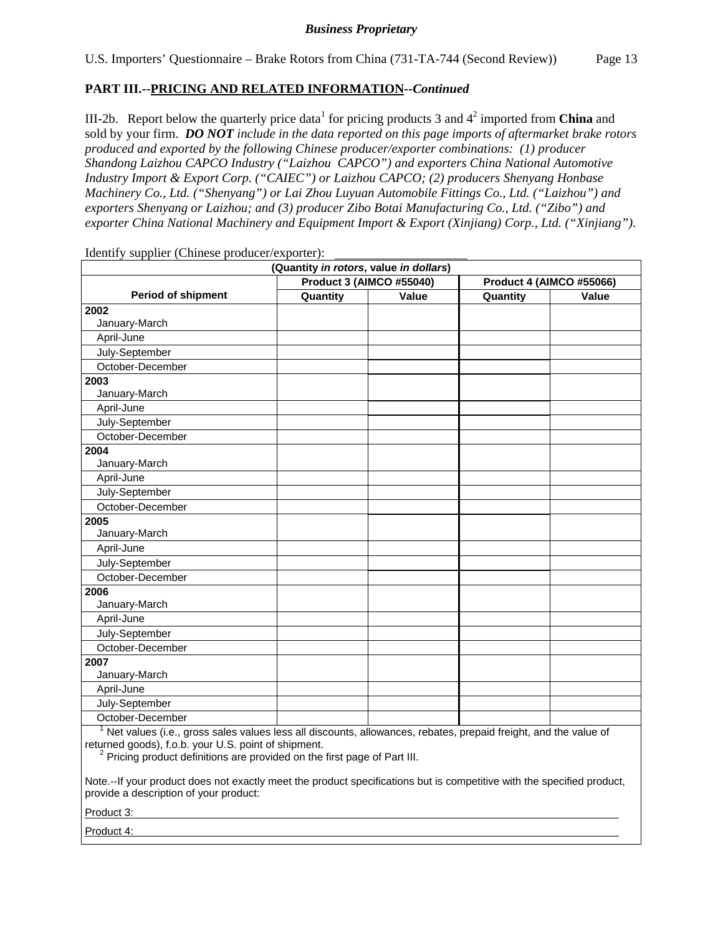## **PART III.--PRICING AND RELATED INFORMATION***--Continued*

III-2b. Report below the quarterly price data<sup>1</sup> for pricing products 3 and  $4^2$  imported from **China** and sold by your firm. *DO NOT include in the data reported on this page imports of aftermarket brake rotors produced and exported by the following Chinese producer/exporter combinations: (1) producer Shandong Laizhou CAPCO Industry ("Laizhou CAPCO") and exporters China National Automotive Industry Import & Export Corp. ("CAIEC") or Laizhou CAPCO; (2) producers Shenyang Honbase Machinery Co., Ltd. ("Shenyang") or Lai Zhou Luyuan Automobile Fittings Co., Ltd. ("Laizhou") and exporters Shenyang or Laizhou; and (3) producer Zibo Botai Manufacturing Co., Ltd. ("Zibo") and exporter China National Machinery and Equipment Import & Export (Xinjiang) Corp., Ltd. ("Xinjiang").*

|                                                                | (Quantity in rotors, value in dollars) |       |                                                                                                                                                                                                                                      |            |  |
|----------------------------------------------------------------|----------------------------------------|-------|--------------------------------------------------------------------------------------------------------------------------------------------------------------------------------------------------------------------------------------|------------|--|
|                                                                | Product 3 (AIMCO #55040)               |       | <b>Product 4 (AIMCO #55066)</b>                                                                                                                                                                                                      |            |  |
| <b>Period of shipment</b>                                      | Quantity                               | Value | Quantity                                                                                                                                                                                                                             | Value      |  |
| 2002                                                           |                                        |       |                                                                                                                                                                                                                                      |            |  |
| January-March                                                  |                                        |       |                                                                                                                                                                                                                                      |            |  |
| April-June                                                     |                                        |       |                                                                                                                                                                                                                                      |            |  |
| July-September                                                 |                                        |       |                                                                                                                                                                                                                                      |            |  |
| October-December                                               |                                        |       |                                                                                                                                                                                                                                      |            |  |
| 2003                                                           |                                        |       |                                                                                                                                                                                                                                      |            |  |
| January-March                                                  |                                        |       |                                                                                                                                                                                                                                      |            |  |
| April-June                                                     |                                        |       |                                                                                                                                                                                                                                      |            |  |
| July-September                                                 |                                        |       |                                                                                                                                                                                                                                      |            |  |
| October-December                                               |                                        |       |                                                                                                                                                                                                                                      |            |  |
| 2004                                                           |                                        |       |                                                                                                                                                                                                                                      |            |  |
| January-March                                                  |                                        |       |                                                                                                                                                                                                                                      |            |  |
| April-June                                                     |                                        |       |                                                                                                                                                                                                                                      |            |  |
| July-September                                                 |                                        |       |                                                                                                                                                                                                                                      |            |  |
| October-December                                               |                                        |       |                                                                                                                                                                                                                                      |            |  |
| 2005                                                           |                                        |       |                                                                                                                                                                                                                                      |            |  |
| January-March                                                  |                                        |       |                                                                                                                                                                                                                                      |            |  |
| April-June                                                     |                                        |       |                                                                                                                                                                                                                                      |            |  |
| July-September                                                 |                                        |       |                                                                                                                                                                                                                                      |            |  |
| October-December                                               |                                        |       |                                                                                                                                                                                                                                      |            |  |
| 2006                                                           |                                        |       |                                                                                                                                                                                                                                      |            |  |
| January-March                                                  |                                        |       |                                                                                                                                                                                                                                      |            |  |
| April-June                                                     |                                        |       |                                                                                                                                                                                                                                      |            |  |
| July-September                                                 |                                        |       |                                                                                                                                                                                                                                      |            |  |
| October-December                                               |                                        |       |                                                                                                                                                                                                                                      |            |  |
| 2007                                                           |                                        |       |                                                                                                                                                                                                                                      |            |  |
| January-March                                                  |                                        |       |                                                                                                                                                                                                                                      |            |  |
| April-June                                                     |                                        |       |                                                                                                                                                                                                                                      |            |  |
| July-September                                                 |                                        |       |                                                                                                                                                                                                                                      |            |  |
| October-December                                               |                                        |       |                                                                                                                                                                                                                                      |            |  |
| $1 \ldots 1$<br>$\mathbf{r}$ and $\mathbf{r}$ and $\mathbf{r}$ | <b>CONTRACTOR</b>                      |       | $\mathbf{r}$ and $\mathbf{r}$ are the set of the set of the set of the set of the set of the set of the set of the set of the set of the set of the set of the set of the set of the set of the set of the set of the set of the set | $\epsilon$ |  |

Identify supplier (Chinese producer/exporter):

 $\overline{\phantom{0}}$  Net values (i.e., gross sales values less all discounts, allowances, rebates, prepaid freight, and the value of returned goods), f.o.b. your U.S. point of shipment.

<sup>2</sup> Pricing product definitions are provided on the first page of Part III.

Note.--If your product does not exactly meet the product specifications but is competitive with the specified product, provide a description of your product:

Product 3:

Product 4: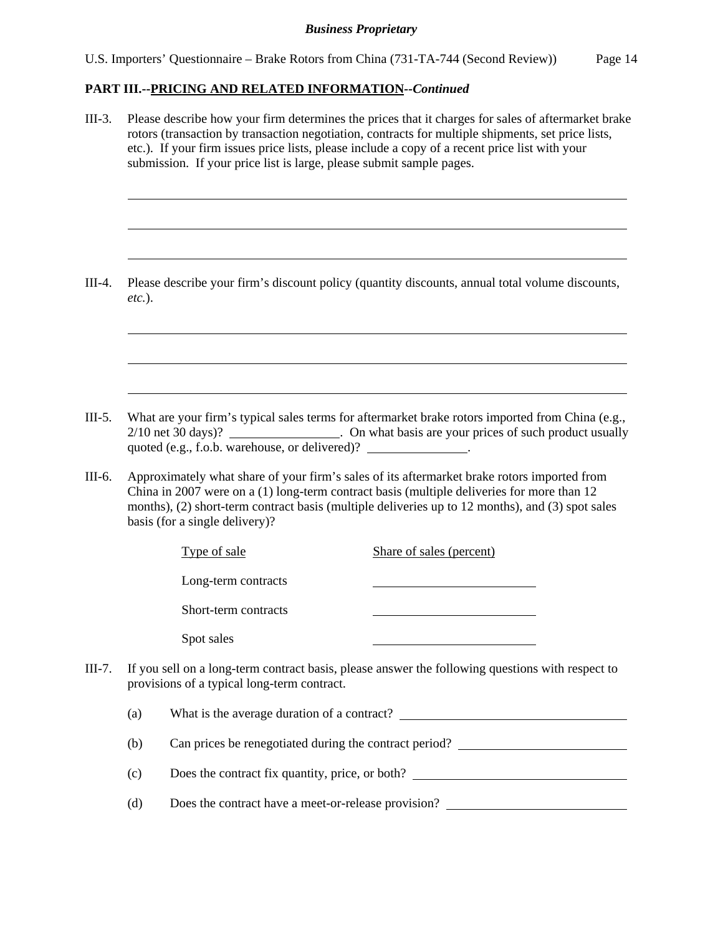### **PART III.--PRICING AND RELATED INFORMATION***--Continued*

III-3. Please describe how your firm determines the prices that it charges for sales of aftermarket brake rotors (transaction by transaction negotiation, contracts for multiple shipments, set price lists, etc.). If your firm issues price lists, please include a copy of a recent price list with your submission. If your price list is large, please submit sample pages.  $\overline{a}$  $\overline{a}$  $\overline{a}$ III-4. Please describe your firm's discount policy (quantity discounts, annual total volume discounts, *etc.*).  $\overline{a}$  $\overline{a}$  $\overline{a}$ III-5. What are your firm's typical sales terms for aftermarket brake rotors imported from China (e.g., 2/10 net 30 days)? \_\_\_\_\_\_\_\_\_\_\_\_\_\_\_\_\_\_. On what basis are your prices of such product usually quoted (e.g., f.o.b. warehouse, or delivered)? \_\_\_\_\_\_\_\_\_\_\_\_\_\_. III-6. Approximately what share of your firm's sales of its aftermarket brake rotors imported from China in 2007 were on a (1) long-term contract basis (multiple deliveries for more than 12 months), (2) short-term contract basis (multiple deliveries up to 12 months), and (3) spot sales basis (for a single delivery)? Type of sale Share of sales (percent) Long-term contracts Short-term contracts Spot sales III-7. If you sell on a long-term contract basis, please answer the following questions with respect to provisions of a typical long-term contract. (a) What is the average duration of a contract? (b) Can prices be renegotiated during the contract period? (c) Does the contract fix quantity, price, or both? (d) Does the contract have a meet-or-release provision?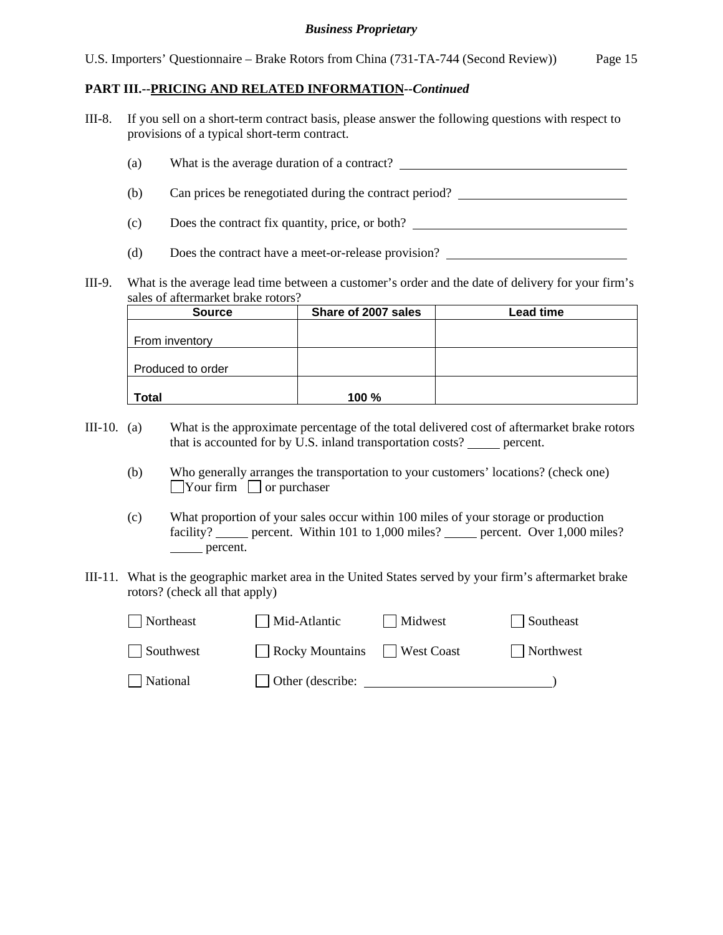- III-8. If you sell on a short-term contract basis, please answer the following questions with respect to provisions of a typical short-term contract.
	- (a) What is the average duration of a contract?
	- (b) Can prices be renegotiated during the contract period?
	- (c) Does the contract fix quantity, price, or both?
	- (d) Does the contract have a meet-or-release provision?
- III-9. What is the average lead time between a customer's order and the date of delivery for your firm's sales of aftermarket brake rotors?

| <b>Source</b>     | Share of 2007 sales | <b>Lead time</b> |
|-------------------|---------------------|------------------|
|                   |                     |                  |
| From inventory    |                     |                  |
|                   |                     |                  |
| Produced to order |                     |                  |
|                   |                     |                  |
| <b>Total</b>      | 100 %               |                  |

- III-10. (a) What is the approximate percentage of the total delivered cost of aftermarket brake rotors that is accounted for by U.S. inland transportation costs? percent.
	- (b) Who generally arranges the transportation to your customers' locations? (check one)  $\Box$ Your firm  $\Box$  or purchaser
	- (c) What proportion of your sales occur within 100 miles of your storage or production facility? \_\_\_\_\_ percent. Within 101 to 1,000 miles? \_\_\_\_\_ percent. Over 1,000 miles? percent.
- III-11. What is the geographic market area in the United States served by your firm's aftermarket brake rotors? (check all that apply)

| Northeast | Mid-Atlantic            | Midwest    | Southeast |
|-----------|-------------------------|------------|-----------|
| Southwest | $\vert$ Rocky Mountains | West Coast | Northwest |
| National  | Other (describe:        |            |           |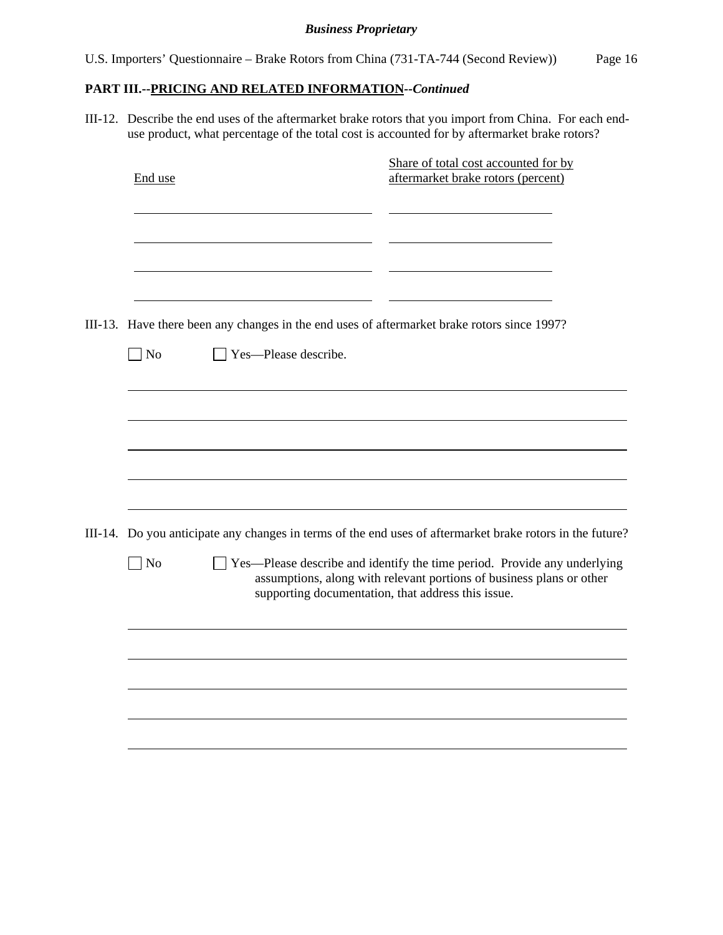|  |  | U.S. Importers' Questionnaire – Brake Rotors from China (731-TA-744 (Second Review)) |  |  |  | Page 16 |
|--|--|--------------------------------------------------------------------------------------|--|--|--|---------|
|--|--|--------------------------------------------------------------------------------------|--|--|--|---------|

# **PART III.--PRICING AND RELATED INFORMATION***--Continued*

III-12. Describe the end uses of the aftermarket brake rotors that you import from China. For each enduse product, what percentage of the total cost is accounted for by aftermarket brake rotors?

| End use   |                      | Share of total cost accounted for by<br>aftermarket brake rotors (percent)                                                                                                                             |
|-----------|----------------------|--------------------------------------------------------------------------------------------------------------------------------------------------------------------------------------------------------|
|           |                      |                                                                                                                                                                                                        |
|           |                      | III-13. Have there been any changes in the end uses of aftermarket brake rotors since 1997?                                                                                                            |
| $\Box$ No | Yes-Please describe. |                                                                                                                                                                                                        |
|           |                      |                                                                                                                                                                                                        |
|           |                      |                                                                                                                                                                                                        |
|           |                      | III-14. Do you anticipate any changes in terms of the end uses of aftermarket brake rotors in the future?                                                                                              |
| $\Box$ No |                      | Yes—Please describe and identify the time period. Provide any underlying<br>assumptions, along with relevant portions of business plans or other<br>supporting documentation, that address this issue. |
|           |                      |                                                                                                                                                                                                        |
|           |                      |                                                                                                                                                                                                        |
|           |                      |                                                                                                                                                                                                        |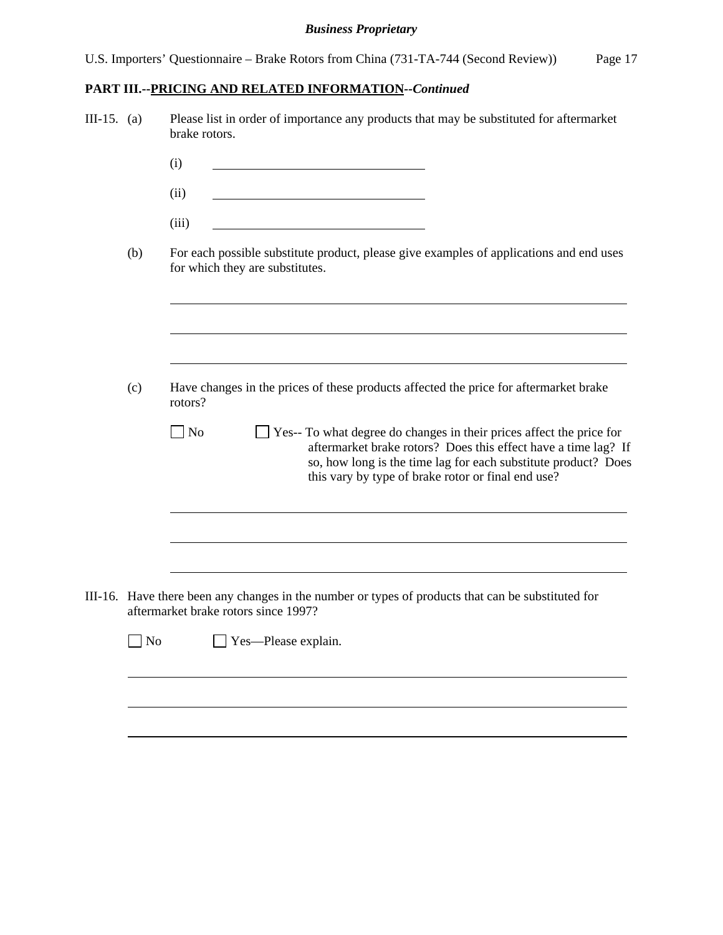| III-15. (a) |           | Please list in order of importance any products that may be substituted for aftermarket<br>brake rotors.                                                                                                                                                                            |
|-------------|-----------|-------------------------------------------------------------------------------------------------------------------------------------------------------------------------------------------------------------------------------------------------------------------------------------|
|             |           | (i)                                                                                                                                                                                                                                                                                 |
|             |           | (ii)                                                                                                                                                                                                                                                                                |
|             |           | (iii)                                                                                                                                                                                                                                                                               |
|             | (b)       | For each possible substitute product, please give examples of applications and end uses<br>for which they are substitutes.                                                                                                                                                          |
|             |           |                                                                                                                                                                                                                                                                                     |
|             | (c)       | Have changes in the prices of these products affected the price for aftermarket brake<br>rotors?                                                                                                                                                                                    |
|             |           | $\Box$ No<br>$\perp$ Yes-- To what degree do changes in their prices affect the price for<br>aftermarket brake rotors? Does this effect have a time lag? If<br>so, how long is the time lag for each substitute product? Does<br>this vary by type of brake rotor or final end use? |
|             |           |                                                                                                                                                                                                                                                                                     |
|             |           | III-16. Have there been any changes in the number or types of products that can be substituted for<br>aftermarket brake rotors since 1997?                                                                                                                                          |
|             | $\Box$ No | $\Box$ Yes—Please explain.                                                                                                                                                                                                                                                          |
|             |           |                                                                                                                                                                                                                                                                                     |
|             |           |                                                                                                                                                                                                                                                                                     |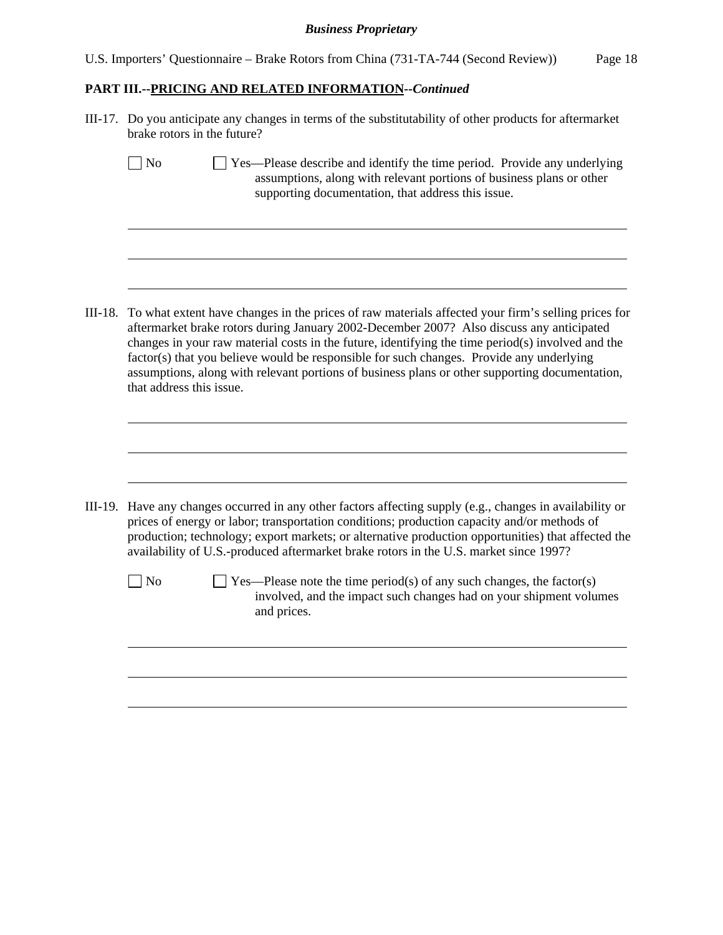|  |  |  |  |  | U.S. Importers' Questionnaire – Brake Rotors from China (731-TA-744 (Second Review)) | Page 18 |
|--|--|--|--|--|--------------------------------------------------------------------------------------|---------|
|--|--|--|--|--|--------------------------------------------------------------------------------------|---------|

| III-17. Do you anticipate any changes in terms of the substitutability of other products for aftermarket<br>brake rotors in the future?                                                                                                                                                                                                                                                                                                                                                                                                                                               |  |  |  |  |  |  |
|---------------------------------------------------------------------------------------------------------------------------------------------------------------------------------------------------------------------------------------------------------------------------------------------------------------------------------------------------------------------------------------------------------------------------------------------------------------------------------------------------------------------------------------------------------------------------------------|--|--|--|--|--|--|
| $\sqrt{\phantom{a}}$ No<br>Yes—Please describe and identify the time period. Provide any underlying<br>assumptions, along with relevant portions of business plans or other<br>supporting documentation, that address this issue.                                                                                                                                                                                                                                                                                                                                                     |  |  |  |  |  |  |
|                                                                                                                                                                                                                                                                                                                                                                                                                                                                                                                                                                                       |  |  |  |  |  |  |
| III-18. To what extent have changes in the prices of raw materials affected your firm's selling prices for<br>aftermarket brake rotors during January 2002-December 2007? Also discuss any anticipated<br>changes in your raw material costs in the future, identifying the time period(s) involved and the<br>factor(s) that you believe would be responsible for such changes. Provide any underlying<br>assumptions, along with relevant portions of business plans or other supporting documentation,<br>that address this issue.                                                 |  |  |  |  |  |  |
|                                                                                                                                                                                                                                                                                                                                                                                                                                                                                                                                                                                       |  |  |  |  |  |  |
| III-19. Have any changes occurred in any other factors affecting supply (e.g., changes in availability or<br>prices of energy or labor; transportation conditions; production capacity and/or methods of<br>production; technology; export markets; or alternative production opportunities) that affected the<br>availability of U.S.-produced aftermarket brake rotors in the U.S. market since 1997?<br>$\vert$ No<br>$Yes—Please note the time period(s) of any such changes, the factor(s)$<br>involved, and the impact such changes had on your shipment volumes<br>and prices. |  |  |  |  |  |  |
|                                                                                                                                                                                                                                                                                                                                                                                                                                                                                                                                                                                       |  |  |  |  |  |  |
|                                                                                                                                                                                                                                                                                                                                                                                                                                                                                                                                                                                       |  |  |  |  |  |  |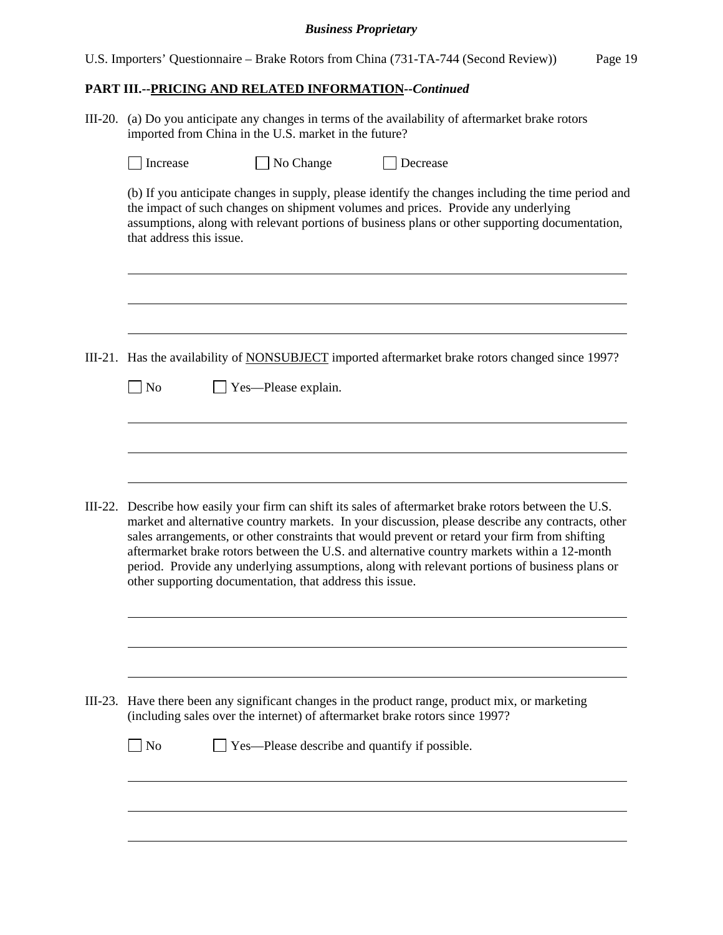| III-20. (a) Do you anticipate any changes in terms of the availability of aftermarket brake rotors<br>imported from China in the U.S. market in the future? |  |                                                          |                                                                                                                                                                                                                                                                                                                                                                                                                                                                                                             |  |  |
|-------------------------------------------------------------------------------------------------------------------------------------------------------------|--|----------------------------------------------------------|-------------------------------------------------------------------------------------------------------------------------------------------------------------------------------------------------------------------------------------------------------------------------------------------------------------------------------------------------------------------------------------------------------------------------------------------------------------------------------------------------------------|--|--|
| Increase                                                                                                                                                    |  | $\Box$ No Change                                         | Decrease                                                                                                                                                                                                                                                                                                                                                                                                                                                                                                    |  |  |
| that address this issue.                                                                                                                                    |  |                                                          | (b) If you anticipate changes in supply, please identify the changes including the time period and<br>the impact of such changes on shipment volumes and prices. Provide any underlying<br>assumptions, along with relevant portions of business plans or other supporting documentation,                                                                                                                                                                                                                   |  |  |
|                                                                                                                                                             |  |                                                          |                                                                                                                                                                                                                                                                                                                                                                                                                                                                                                             |  |  |
|                                                                                                                                                             |  |                                                          | III-21. Has the availability of NONSUBJECT imported aftermarket brake rotors changed since 1997?                                                                                                                                                                                                                                                                                                                                                                                                            |  |  |
| $\Box$ No                                                                                                                                                   |  | Yes—Please explain.                                      |                                                                                                                                                                                                                                                                                                                                                                                                                                                                                                             |  |  |
|                                                                                                                                                             |  |                                                          |                                                                                                                                                                                                                                                                                                                                                                                                                                                                                                             |  |  |
|                                                                                                                                                             |  |                                                          |                                                                                                                                                                                                                                                                                                                                                                                                                                                                                                             |  |  |
|                                                                                                                                                             |  | other supporting documentation, that address this issue. | III-22. Describe how easily your firm can shift its sales of aftermarket brake rotors between the U.S.<br>market and alternative country markets. In your discussion, please describe any contracts, other<br>sales arrangements, or other constraints that would prevent or retard your firm from shifting<br>aftermarket brake rotors between the U.S. and alternative country markets within a 12-month<br>period. Provide any underlying assumptions, along with relevant portions of business plans or |  |  |
|                                                                                                                                                             |  |                                                          |                                                                                                                                                                                                                                                                                                                                                                                                                                                                                                             |  |  |
|                                                                                                                                                             |  |                                                          | III-23. Have there been any significant changes in the product range, product mix, or marketing<br>(including sales over the internet) of aftermarket brake rotors since 1997?                                                                                                                                                                                                                                                                                                                              |  |  |
| $\vert$ No                                                                                                                                                  |  |                                                          | Yes—Please describe and quantify if possible.                                                                                                                                                                                                                                                                                                                                                                                                                                                               |  |  |
|                                                                                                                                                             |  |                                                          |                                                                                                                                                                                                                                                                                                                                                                                                                                                                                                             |  |  |
|                                                                                                                                                             |  |                                                          |                                                                                                                                                                                                                                                                                                                                                                                                                                                                                                             |  |  |
|                                                                                                                                                             |  |                                                          |                                                                                                                                                                                                                                                                                                                                                                                                                                                                                                             |  |  |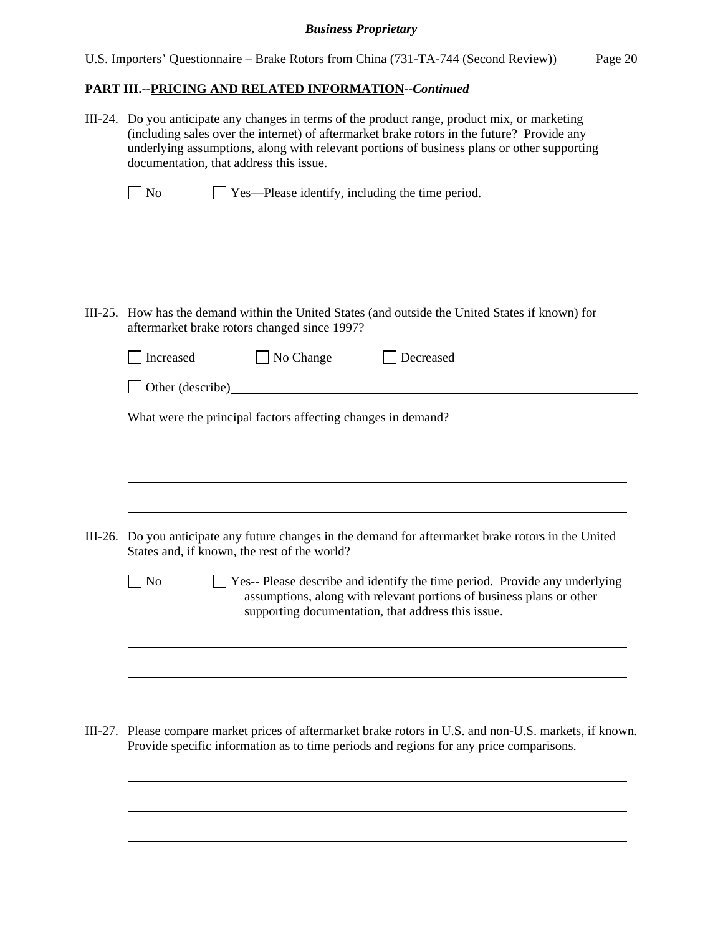| III-24. Do you anticipate any changes in terms of the product range, product mix, or marketing<br>(including sales over the internet) of aftermarket brake rotors in the future? Provide any<br>underlying assumptions, along with relevant portions of business plans or other supporting<br>documentation, that address this issue. |  |  |  |  |  |
|---------------------------------------------------------------------------------------------------------------------------------------------------------------------------------------------------------------------------------------------------------------------------------------------------------------------------------------|--|--|--|--|--|
| $\big $ No<br>Yes—Please identify, including the time period.                                                                                                                                                                                                                                                                         |  |  |  |  |  |
|                                                                                                                                                                                                                                                                                                                                       |  |  |  |  |  |
| III-25. How has the demand within the United States (and outside the United States if known) for<br>aftermarket brake rotors changed since 1997?                                                                                                                                                                                      |  |  |  |  |  |
| Increased<br>$\Box$ No Change<br>Decreased                                                                                                                                                                                                                                                                                            |  |  |  |  |  |
| Other (describe)                                                                                                                                                                                                                                                                                                                      |  |  |  |  |  |
| What were the principal factors affecting changes in demand?                                                                                                                                                                                                                                                                          |  |  |  |  |  |
|                                                                                                                                                                                                                                                                                                                                       |  |  |  |  |  |
|                                                                                                                                                                                                                                                                                                                                       |  |  |  |  |  |
| III-26. Do you anticipate any future changes in the demand for aftermarket brake rotors in the United<br>States and, if known, the rest of the world?                                                                                                                                                                                 |  |  |  |  |  |
| $\vert$ No<br>Yes-- Please describe and identify the time period. Provide any underlying<br>assumptions, along with relevant portions of business plans or other<br>supporting documentation, that address this issue.                                                                                                                |  |  |  |  |  |
|                                                                                                                                                                                                                                                                                                                                       |  |  |  |  |  |
|                                                                                                                                                                                                                                                                                                                                       |  |  |  |  |  |
| III-27. Please compare market prices of aftermarket brake rotors in U.S. and non-U.S. markets, if known.<br>Provide specific information as to time periods and regions for any price comparisons.                                                                                                                                    |  |  |  |  |  |
|                                                                                                                                                                                                                                                                                                                                       |  |  |  |  |  |
|                                                                                                                                                                                                                                                                                                                                       |  |  |  |  |  |
|                                                                                                                                                                                                                                                                                                                                       |  |  |  |  |  |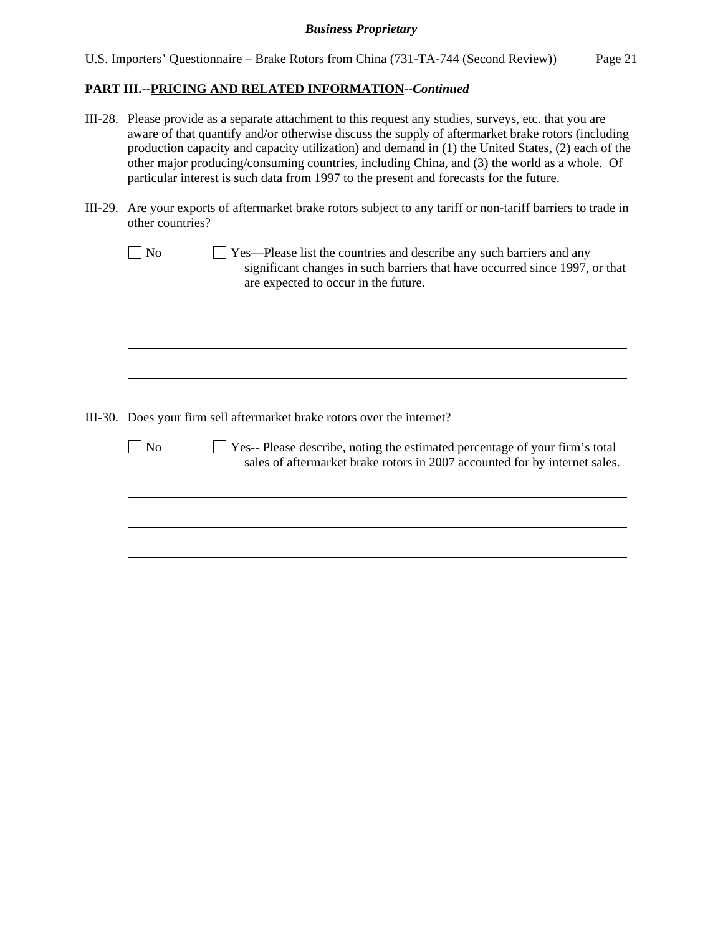|  |  |  |  |  | U.S. Importers' Questionnaire – Brake Rotors from China (731-TA-744 (Second Review)) | Page 21 |
|--|--|--|--|--|--------------------------------------------------------------------------------------|---------|
|--|--|--|--|--|--------------------------------------------------------------------------------------|---------|

### **PART III.--PRICING AND RELATED INFORMATION***--Continued*

- III-28. Please provide as a separate attachment to this request any studies, surveys, etc. that you are aware of that quantify and/or otherwise discuss the supply of aftermarket brake rotors (including production capacity and capacity utilization) and demand in (1) the United States, (2) each of the other major producing/consuming countries, including China, and (3) the world as a whole. Of particular interest is such data from 1997 to the present and forecasts for the future.
- III-29. Are your exports of aftermarket brake rotors subject to any tariff or non-tariff barriers to trade in other countries?
	- No  $\Box$  Yes—Please list the countries and describe any such barriers and any significant changes in such barriers that have occurred since 1997, or that are expected to occur in the future.

III-30. Does your firm sell aftermarket brake rotors over the internet?

 $\overline{a}$ 

 $\overline{a}$ 

No Ses-- Please describe, noting the estimated percentage of your firm's total sales of aftermarket brake rotors in 2007 accounted for by internet sales.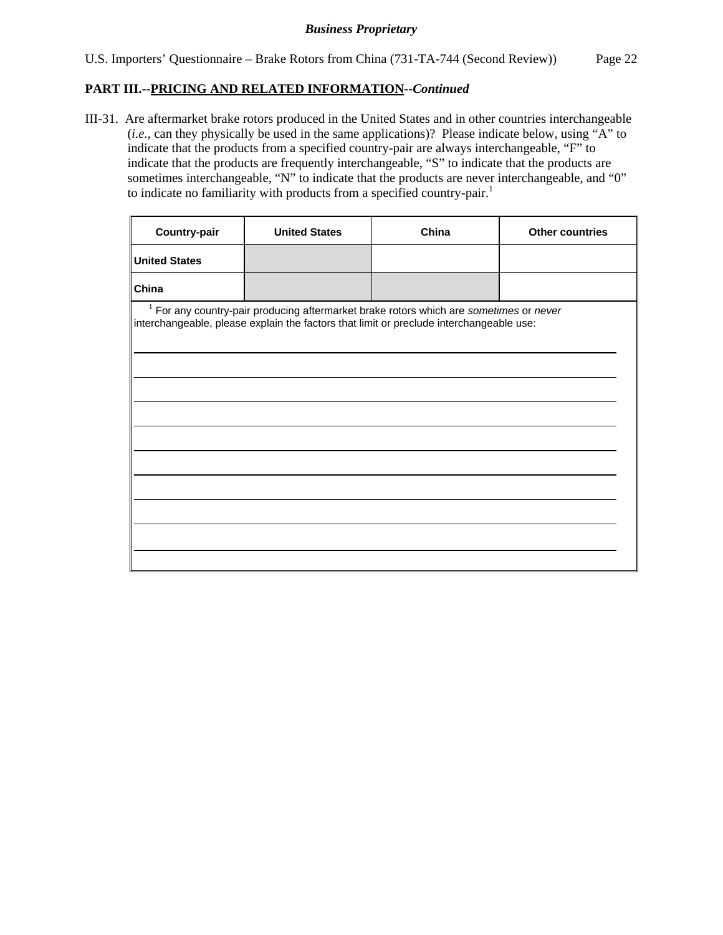## **PART III.--PRICING AND RELATED INFORMATION***--Continued*

III-31. Are aftermarket brake rotors produced in the United States and in other countries interchangeable (*i.e.*, can they physically be used in the same applications)? Please indicate below, using "A" to indicate that the products from a specified country-pair are always interchangeable, "F" to indicate that the products are frequently interchangeable, "S" to indicate that the products are sometimes interchangeable, "N" to indicate that the products are never interchangeable, and "0" to indicate no familiarity with products from a specified country-pair.<sup>1</sup>

| Country-pair         | <b>United States</b> | China                                                                                                                                                                                        | <b>Other countries</b> |
|----------------------|----------------------|----------------------------------------------------------------------------------------------------------------------------------------------------------------------------------------------|------------------------|
| <b>United States</b> |                      |                                                                                                                                                                                              |                        |
| China                |                      |                                                                                                                                                                                              |                        |
|                      |                      | <sup>1</sup> For any country-pair producing aftermarket brake rotors which are sometimes or never<br>interchangeable, please explain the factors that limit or preclude interchangeable use: |                        |
|                      |                      |                                                                                                                                                                                              |                        |
|                      |                      |                                                                                                                                                                                              |                        |